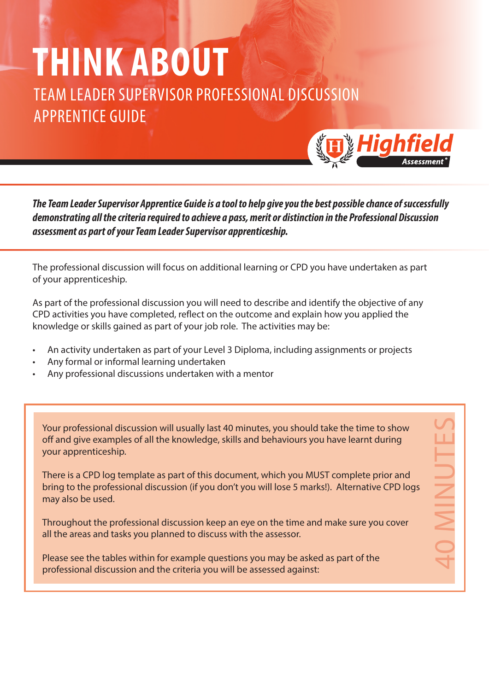## **THINK ABOUT**

TEAM LEADER SUPERVISOR PROFESSIONAL DISCUSSION APPRENTICE GUIDE



40 MINUTES

*The Team Leader Supervisor Apprentice Guide is a tool to help give you the best possible chance of successfully demonstrating all the criteria required to achieve a pass, merit or distinction in the Professional Discussion assessment as part of your Team Leader Supervisor apprenticeship.*

The professional discussion will focus on additional learning or CPD you have undertaken as part of your apprenticeship.

As part of the professional discussion you will need to describe and identify the objective of any CPD activities you have completed, reflect on the outcome and explain how you applied the knowledge or skills gained as part of your job role. The activities may be:

- An activity undertaken as part of your Level 3 Diploma, including assignments or projects
- Any formal or informal learning undertaken
- Any professional discussions undertaken with a mentor

Your professional discussion will usually last 40 minutes, you should take the time to show off and give examples of all the knowledge, skills and behaviours you have learnt during your apprenticeship.

There is a CPD log template as part of this document, which you MUST complete prior and bring to the professional discussion (if you don't you will lose 5 marks!). Alternative CPD logs may also be used.

Throughout the professional discussion keep an eye on the time and make sure you cover all the areas and tasks you planned to discuss with the assessor.

Please see the tables within for example questions you may be asked as part of the professional discussion and the criteria you will be assessed against: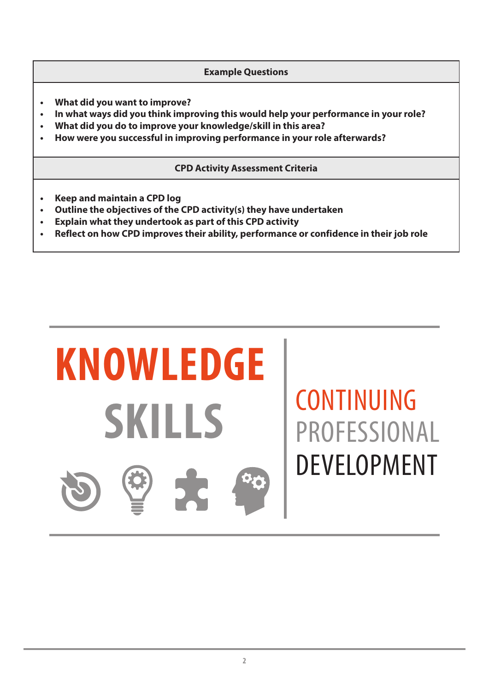**Example Questions**

- **• What did you want to improve?**
- **• In what ways did you think improving this would help your performance in your role?**
- **• What did you do to improve your knowledge/skill in this area?**
- **• How were you successful in improving performance in your role afterwards?**

**CPD Activity Assessment Criteria**

- **• Keep and maintain a CPD log**
- **• Outline the objectives of the CPD activity(s) they have undertaken**
- **• Explain what they undertook as part of this CPD activity**
- **• Reflect on how CPD improves their ability, performance or confidence in their job role**



## CONTINUING PROFESSIONAL DEVELOPMENT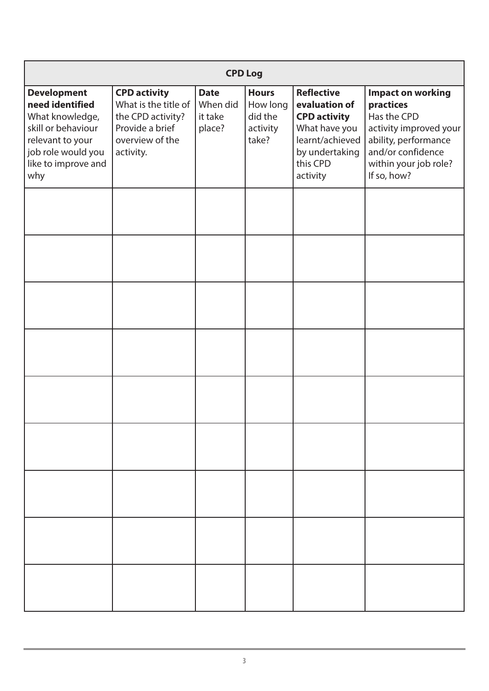| <b>CPD Log</b>                                                                                                                                         |                                                                                                                     |                                              |                                                          |                                                                                                                                         |                                                                                                                                                                     |  |
|--------------------------------------------------------------------------------------------------------------------------------------------------------|---------------------------------------------------------------------------------------------------------------------|----------------------------------------------|----------------------------------------------------------|-----------------------------------------------------------------------------------------------------------------------------------------|---------------------------------------------------------------------------------------------------------------------------------------------------------------------|--|
| <b>Development</b><br>need identified<br>What knowledge,<br>skill or behaviour<br>relevant to your<br>job role would you<br>like to improve and<br>why | <b>CPD activity</b><br>What is the title of<br>the CPD activity?<br>Provide a brief<br>overview of the<br>activity. | <b>Date</b><br>When did<br>it take<br>place? | <b>Hours</b><br>How long<br>did the<br>activity<br>take? | <b>Reflective</b><br>evaluation of<br><b>CPD activity</b><br>What have you<br>learnt/achieved<br>by undertaking<br>this CPD<br>activity | <b>Impact on working</b><br>practices<br>Has the CPD<br>activity improved your<br>ability, performance<br>and/or confidence<br>within your job role?<br>If so, how? |  |
|                                                                                                                                                        |                                                                                                                     |                                              |                                                          |                                                                                                                                         |                                                                                                                                                                     |  |
|                                                                                                                                                        |                                                                                                                     |                                              |                                                          |                                                                                                                                         |                                                                                                                                                                     |  |
|                                                                                                                                                        |                                                                                                                     |                                              |                                                          |                                                                                                                                         |                                                                                                                                                                     |  |
|                                                                                                                                                        |                                                                                                                     |                                              |                                                          |                                                                                                                                         |                                                                                                                                                                     |  |
|                                                                                                                                                        |                                                                                                                     |                                              |                                                          |                                                                                                                                         |                                                                                                                                                                     |  |
|                                                                                                                                                        |                                                                                                                     |                                              |                                                          |                                                                                                                                         |                                                                                                                                                                     |  |
|                                                                                                                                                        |                                                                                                                     |                                              |                                                          |                                                                                                                                         |                                                                                                                                                                     |  |
|                                                                                                                                                        |                                                                                                                     |                                              |                                                          |                                                                                                                                         |                                                                                                                                                                     |  |
|                                                                                                                                                        |                                                                                                                     |                                              |                                                          |                                                                                                                                         |                                                                                                                                                                     |  |